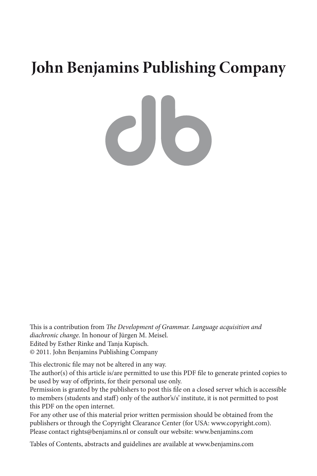# **John Benjamins Publishing Company**

CIO

This is a contribution from *The Development of Grammar. Language acquisition and diachronic change*. In honour of Jürgen M. Meisel. Edited by Esther Rinke and Tanja Kupisch.

© 2011. John Benjamins Publishing Company

This electronic file may not be altered in any way.

The author(s) of this article is/are permitted to use this PDF file to generate printed copies to be used by way of offprints, for their personal use only.

Permission is granted by the publishers to post this file on a closed server which is accessible to members (students and staff) only of the author's/s' institute, it is not permitted to post this PDF on the open internet.

For any other use of this material prior written permission should be obtained from the publishers or through the Copyright Clearance Center (for USA: www.copyright.com). Please contact rights@benjamins.nl or consult our website: www.benjamins.com

Tables of Contents, abstracts and guidelines are available at www.benjamins.com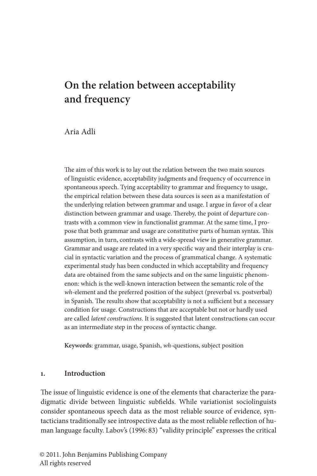# **On the relation between acceptability and frequency**

Aria Adli

The aim of this work is to lay out the relation between the two main sources of linguistic evidence, acceptability judgments and frequency of occurrence in spontaneous speech. Tying acceptability to grammar and frequency to usage, the empirical relation between these data sources is seen as a manifestation of the underlying relation between grammar and usage. I argue in favor of a clear distinction between grammar and usage. Thereby, the point of departure contrasts with a common view in functionalist grammar. At the same time, I propose that both grammar and usage are constitutive parts of human syntax. This assumption, in turn, contrasts with a wide-spread view in generative grammar. Grammar and usage are related in a very specific way and their interplay is crucial in syntactic variation and the process of grammatical change. A systematic experimental study has been conducted in which acceptability and frequency data are obtained from the same subjects and on the same linguistic phenomenon: which is the well-known interaction between the semantic role of the *wh*-element and the preferred position of the subject (preverbal vs. postverbal) in Spanish. The results show that acceptability is not a sufficient but a necessary condition for usage. Constructions that are acceptable but not or hardly used are called *latent constructions*. It is suggested that latent constructions can occur as an intermediate step in the process of syntactic change.

**Keywords**: grammar, usage, Spanish, *wh*-questions, subject position

#### **1. Introduction**

The issue of linguistic evidence is one of the elements that characterize the paradigmatic divide between linguistic subfields. While variationist sociolinguists consider spontaneous speech data as the most reliable source of evidence, syntacticians traditionally see introspective data as the most reliable reflection of human language faculty. Labov's (1996: 83) "validity principle" expresses the critical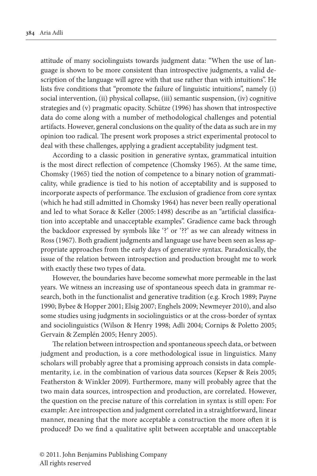attitude of many sociolinguists towards judgment data: "When the use of language is shown to be more consistent than introspective judgments, a valid description of the language will agree with that use rather than with intuitions". He lists five conditions that "promote the failure of linguistic intuitions", namely (i) social intervention, (ii) physical collapse, (iii) semantic suspension, (iv) cognitive strategies and (v) pragmatic opacity. Schütze (1996) has shown that introspective data do come along with a number of methodological challenges and potential artifacts. However, general conclusions on the quality of the data as such are in my opinion too radical. The present work proposes a strict experimental protocol to deal with these challenges, applying a gradient acceptability judgment test.

According to a classic position in generative syntax, grammatical intuition is the most direct reflection of competence (Chomsky 1965). At the same time, Chomsky (1965) tied the notion of competence to a binary notion of grammaticality, while gradience is tied to his notion of acceptability and is supposed to incorporate aspects of performance. The exclusion of gradience from core syntax (which he had still admitted in Chomsky 1964) has never been really operational and led to what Sorace & Keller (2005: 1498) describe as an "artificial classification into acceptable and unacceptable examples". Gradience came back through the backdoor expressed by symbols like '?' or '??' as we can already witness in Ross (1967). Both gradient judgments and language use have been seen as less appropriate approaches from the early days of generative syntax. Paradoxically, the issue of the relation between introspection and production brought me to work with exactly these two types of data.

However, the boundaries have become somewhat more permeable in the last years. We witness an increasing use of spontaneous speech data in grammar research, both in the functionalist and generative tradition (e.g. Kroch 1989; Payne 1990; Bybee & Hopper 2001; Elsig 2007; Enghels 2009; Newmeyer 2010), and also some studies using judgments in sociolinguistics or at the cross-border of syntax and sociolinguistics (Wilson & Henry 1998; Adli 2004; Cornips & Poletto 2005; Gervain & Zemplén 2005; Henry 2005).

The relation between introspection and spontaneous speech data, or between judgment and production, is a core methodological issue in linguistics. Many scholars will probably agree that a promising approach consists in data complementarity, i.e. in the combination of various data sources (Kepser & Reis 2005; Featherston & Winkler 2009). Furthermore, many will probably agree that the two main data sources, introspection and production, are correlated. However, the question on the precise nature of this correlation in syntax is still open: For example: Are introspection and judgment correlated in a straightforward, linear manner, meaning that the more acceptable a construction the more often it is produced? Do we find a qualitative split between acceptable and unacceptable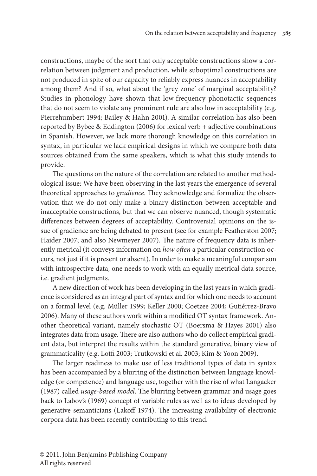constructions, maybe of the sort that only acceptable constructions show a correlation between judgment and production, while suboptimal constructions are not produced in spite of our capacity to reliably express nuances in acceptability among them? And if so, what about the 'grey zone' of marginal acceptability? Studies in phonology have shown that low-frequency phonotactic sequences that do not seem to violate any prominent rule are also low in acceptability (e.g. Pierrehumbert 1994; Bailey & Hahn 2001). A similar correlation has also been reported by Bybee & Eddington (2006) for lexical verb + adjective combinations in Spanish. However, we lack more thorough knowledge on this correlation in syntax, in particular we lack empirical designs in which we compare both data sources obtained from the same speakers, which is what this study intends to provide.

The questions on the nature of the correlation are related to another methodological issue: We have been observing in the last years the emergence of several theoretical approaches to *gradience*. They acknowledge and formalize the observation that we do not only make a binary distinction between acceptable and inacceptable constructions, but that we can observe nuanced, though systematic differences between degrees of acceptability. Controversial opinions on the issue of gradience are being debated to present (see for example Featherston 2007; Haider 2007; and also Newmeyer 2007). The nature of frequency data is inherently metrical (it conveys information on *how often* a particular construction occurs, not just if it is present or absent). In order to make a meaningful comparison with introspective data, one needs to work with an equally metrical data source, i.e. gradient judgments.

A new direction of work has been developing in the last years in which gradience is considered as an integral part of syntax and for which one needs to account on a formal level (e.g. Müller 1999; Keller 2000; Coetzee 2004; Gutiérrez-Bravo 2006). Many of these authors work within a modified OT syntax framework. Another theoretical variant, namely stochastic OT (Boersma & Hayes 2001) also integrates data from usage. There are also authors who do collect empirical gradient data, but interpret the results within the standard generative, binary view of grammaticality (e.g. Lotfi 2003; Trutkowski et al. 2003; Kim & Yoon 2009).

The larger readiness to make use of less traditional types of data in syntax has been accompanied by a blurring of the distinction between language knowledge (or competence) and language use, together with the rise of what Langacker (1987) called *usage-based model*. The blurring between grammar and usage goes back to Labov's (1969) concept of variable rules as well as to ideas developed by generative semanticians (Lakoff 1974). The increasing availability of electronic corpora data has been recently contributing to this trend.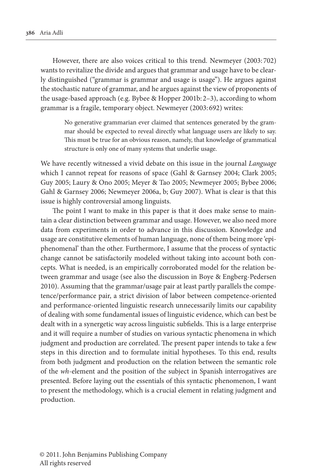However, there are also voices critical to this trend. Newmeyer (2003:702) wants to revitalize the divide and argues that grammar and usage have to be clearly distinguished ("grammar is grammar and usage is usage"). He argues against the stochastic nature of grammar, and he argues against the view of proponents of the usage-based approach (e.g. Bybee & Hopper 2001b: 2–3), according to whom grammar is a fragile, temporary object. Newmeyer (2003: 692) writes:

> No generative grammarian ever claimed that sentences generated by the grammar should be expected to reveal directly what language users are likely to say. This must be true for an obvious reason, namely, that knowledge of grammatical structure is only one of many systems that underlie usage.

We have recently witnessed a vivid debate on this issue in the journal *Language* which I cannot repeat for reasons of space (Gahl & Garnsey 2004; Clark 2005; Guy 2005; Laury & Ono 2005; Meyer & Tao 2005; Newmeyer 2005; Bybee 2006; Gahl & Garnsey 2006; Newmeyer 2006a, b; Guy 2007). What is clear is that this issue is highly controversial among linguists.

The point I want to make in this paper is that it does make sense to maintain a clear distinction between grammar and usage. However, we also need more data from experiments in order to advance in this discussion. Knowledge and usage are constitutive elements of human language, none of them being more 'epiphenomenal' than the other. Furthermore, I assume that the process of syntactic change cannot be satisfactorily modeled without taking into account both concepts. What is needed, is an empirically corroborated model for the relation between grammar and usage (see also the discussion in Boye & Engberg-Pedersen 2010). Assuming that the grammar/usage pair at least partly parallels the competence/performance pair, a strict division of labor between competence-oriented and performance-oriented linguistic research unnecessarily limits our capability of dealing with some fundamental issues of linguistic evidence, which can best be dealt with in a synergetic way across linguistic subfields. This is a large enterprise and it will require a number of studies on various syntactic phenomena in which judgment and production are correlated. The present paper intends to take a few steps in this direction and to formulate initial hypotheses. To this end, results from both judgment and production on the relation between the semantic role of the *wh*-element and the position of the subject in Spanish interrogatives are presented. Before laying out the essentials of this syntactic phenomenon, I want to present the methodology, which is a crucial element in relating judgment and production.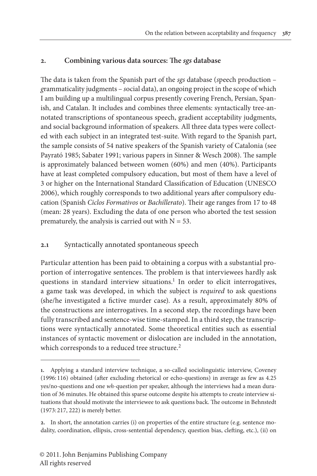## **2. Combining various data sources: The** *sgs* **database**

The data is taken from the Spanish part of the *sgs* database (*s*peech production – *g*rammaticality judgments – *s*ocial data), an ongoing project in the scope of which I am building up a multilingual corpus presently covering French, Persian, Spanish, and Catalan. It includes and combines three elements: syntactically tree-annotated transcriptions of spontaneous speech, gradient acceptability judgments, and social background information of speakers. All three data types were collected with each subject in an integrated test-suite. With regard to the Spanish part, the sample consists of 54 native speakers of the Spanish variety of Catalonia (see Payrató 1985; Sabater 1991; various papers in Sinner & Wesch 2008). The sample is approximately balanced between women (60%) and men (40%). Participants have at least completed compulsory education, but most of them have a level of 3 or higher on the International Standard Classification of Education (UNESCO 2006), which roughly corresponds to two additional years after compulsory education (Spanish *Ciclos Formativos* or *Bachillerato*). Their age ranges from 17 to 48 (mean: 28 years). Excluding the data of one person who aborted the test session prematurely, the analysis is carried out with  $N = 53$ .

## **2.1** Syntactically annotated spontaneous speech

Particular attention has been paid to obtaining a corpus with a substantial proportion of interrogative sentences. The problem is that interviewees hardly ask questions in standard interview situations.<sup>1</sup> In order to elicit interrogatives, a game task was developed, in which the subject is *required* to ask questions (she/he investigated a fictive murder case). As a result, approximately 80% of the constructions are interrogatives. In a second step, the recordings have been fully transcribed and sentence-wise time-stamped. In a third step, the transcriptions were syntactically annotated. Some theoretical entities such as essential instances of syntactic movement or dislocation are included in the annotation, which corresponds to a reduced tree structure.<sup>2</sup>

**<sup>1.</sup>** Applying a standard interview technique, a so-called sociolinguistic interview, Coveney (1996: 116) obtained (after excluding rhetorical or echo-questions) in average as few as 4.25 yes/no-questions and one *wh*-question per speaker, although the interviews had a mean duration of 36 minutes. He obtained this sparse outcome despite his attempts to create interview situations that should motivate the interviewee to ask questions back. The outcome in Behnstedt (1973: 217, 222) is merely better.

**<sup>2.</sup>** In short, the annotation carries (i) on properties of the entire structure (e.g. sentence modality, coordination, ellipsis, cross-sentential dependency, question bias, clefting, etc.), (ii) on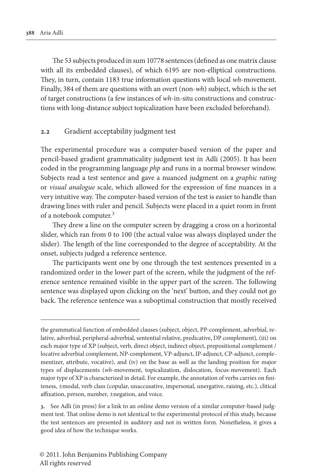The 53 subjects produced in sum 10778 sentences (defined as one matrix clause with all its embedded clauses), of which 6195 are non-elliptical constructions. They, in turn, contain 1183 true information questions with local *wh*-movement. Finally, 384 of them are questions with an overt (non-*wh*) subject, which is the set of target constructions (a few instances of *wh*-in-situ constructions and constructions with long-distance subject topicalization have been excluded beforehand).

#### **2.2** Gradient acceptability judgment test

The experimental procedure was a computer-based version of the paper and pencil-based gradient grammaticality judgment test in Adli (2005). It has been coded in the programming language *php* and runs in a normal browser window. Subjects read a test sentence and gave a nuanced judgment on a *graphic rating* or *visual analogue* scale, which allowed for the expression of fine nuances in a very intuitive way. The computer-based version of the test is easier to handle than drawing lines with ruler and pencil. Subjects were placed in a quiet room in front of a notebook computer.3

They drew a line on the computer screen by dragging a cross on a horizontal slider, which ran from 0 to 100 (the actual value was always displayed under the slider). The length of the line corresponded to the degree of acceptability. At the onset, subjects judged a reference sentence.

The participants went one by one through the test sentences presented in a randomized order in the lower part of the screen, while the judgment of the reference sentence remained visible in the upper part of the screen. The following sentence was displayed upon clicking on the 'next' button, and they could not go back. The reference sentence was a suboptimal construction that mostly received

the grammatical function of embedded clauses (subject, object, PP-complement, adverbial, relative, adverbial, peripheral-adverbial, sentential relative, predicative, DP complement), (iii) on each major type of XP (subject, verb, direct object, indirect object, prepositional complement / locative adverbial complement, NP-complement, VP-adjunct, IP-adjunct, CP-adjunct, complementizer, attribute, vocative), and (iv) on the base as well as the landing position for major types of displacements (*wh*-movement, topicalization, dislocation, focus-movement). Each major type of XP is characterized in detail. For example, the annotation of verbs carries on finiteness, ±modal, verb class (copular, unaccusative, impersonal, unergative, raising, etc.), clitical affixation, person, number, ±negation, and voice.

**<sup>3.</sup>** See Adli (in press) for a link to an online demo version of a similar computer-based judgment test. That online demo is not identical to the experimental protocol of this study, because the test sentences are presented in auditory and not in written form. Nonetheless, it gives a good idea of how the technique works.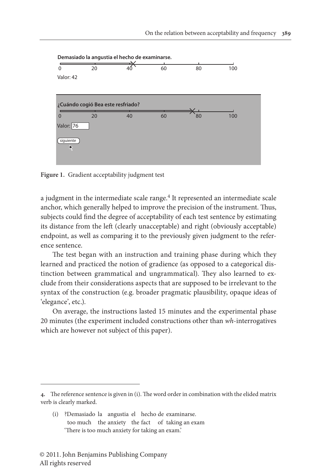

**Figure 1.** Gradient acceptability judgment test

a judgment in the intermediate scale range.<sup>4</sup> It represented an intermediate scale anchor, which generally helped to improve the precision of the instrument. Thus, subjects could find the degree of acceptability of each test sentence by estimating its distance from the left (clearly unacceptable) and right (obviously acceptable) endpoint, as well as comparing it to the previously given judgment to the reference sentence.

The test began with an instruction and training phase during which they learned and practiced the notion of gradience (as opposed to a categorical distinction between grammatical and ungrammatical). They also learned to exclude from their considerations aspects that are supposed to be irrelevant to the syntax of the construction (e.g. broader pragmatic plausibility, opaque ideas of 'elegance', etc.).

On average, the instructions lasted 15 minutes and the experimental phase 20 minutes (the experiment included constructions other than *wh*-interrogatives which are however not subject of this paper).

(i) ?Demasiado la angustia el hecho de examinarse. too much the anxiety the fact of taking an exam 'There is too much anxiety for taking an exam.'

**<sup>4.</sup>** The reference sentence is given in (i). The word order in combination with the elided matrix verb is clearly marked.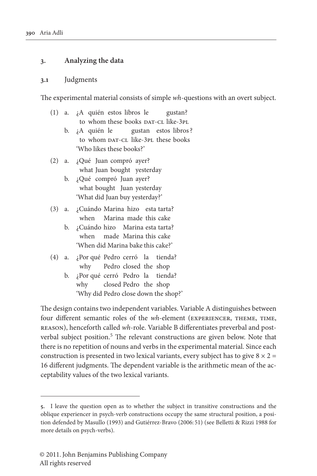#### **3. Analyzing the data**

#### **3.1** Judgments

The experimental material consists of simple *wh*-questions with an overt subject.

- (1) a. ¿A quién estos libros le gustan? to whom these books DAT-CL like-3PL
	- b. ;A quién le gustan estos libros? to whom DAT-CL like-3pL these books 'Who likes these books?'
- (2) a. ¿Qué Juan compró ayer? what Juan bought yesterday
	- b. ¿Qué compró Juan ayer? what bought Juan yesterday 'What did Juan buy yesterday?'
- (3) a. ¿Cuándo Marina hizo esta tarta? when Marina made this cake
	- b. ¿Cuándo hizo Marina esta tarta? when made Marina this cake 'When did Marina bake this cake?'
- (4) a. ¿Por qué Pedro cerró la tienda? why Pedro closed the shop
	- b. ¿Por qué cerró Pedro la tienda? why closed Pedro the shop 'Why did Pedro close down the shop?'

The design contains two independent variables. Variable A distinguishes between four different semantic roles of the *wh*-element (EXPERIENCER, THEME, TIME, reason), henceforth called *wh*-role. Variable B differentiates preverbal and postverbal subject position.<sup>5</sup> The relevant constructions are given below. Note that there is no repetition of nouns and verbs in the experimental material. Since each construction is presented in two lexical variants, every subject has to give  $8 \times 2 =$ 16 different judgments. The dependent variable is the arithmetic mean of the acceptability values of the two lexical variants.

**<sup>5.</sup>** I leave the question open as to whether the subject in transitive constructions and the oblique experiencer in psych-verb constructions occupy the same structural position, a position defended by Masullo (1993) and Gutiérrez-Bravo (2006: 51) (see Belletti & Rizzi 1988 for more details on psych-verbs).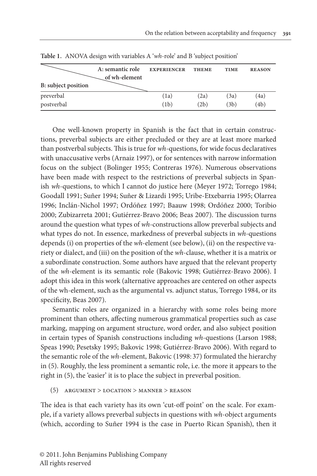|                     | A: semantic role<br>of wh-element | <b>EXPERIENCER</b> | <b>THEME</b> | <b>TIME</b> | <b>REASON</b> |
|---------------------|-----------------------------------|--------------------|--------------|-------------|---------------|
| B: subject position |                                   |                    |              |             |               |
| preverbal           |                                   | (1a)               | (2a)         | (3a)        | (4a)          |
| postverbal          |                                   | (1b)               | (2b)         | (3b)        | (4b)          |

**Table 1.** ANOVA design with variables A '*wh*-role' and B 'subject position'

One well-known property in Spanish is the fact that in certain constructions, preverbal subjects are either precluded or they are at least more marked than postverbal subjects. This is true for *wh*-questions, for wide focus declaratives with unaccusative verbs (Arnaiz 1997), or for sentences with narrow information focus on the subject (Bolinger 1955; Contreras 1976). Numerous observations have been made with respect to the restrictions of preverbal subjects in Spanish *wh*-questions, to which I cannot do justice here (Meyer 1972; Torrego 1984; Goodall 1991; Suñer 1994; Suñer & Lizardi 1995; Uribe-Etxebarria 1995; Olarrea 1996; Inclán-Nichol 1997; Ordóñez 1997; Baauw 1998; Ordóñez 2000; Toribio 2000; Zubizarreta 2001; Gutiérrez-Bravo 2006; Beas 2007). The discussion turns around the question what types of *wh*-constructions allow preverbal subjects and what types do not. In essence, markedness of preverbal subjects in *wh*-questions depends (i) on properties of the *wh*-element (see below), (ii) on the respective variety or dialect, and (iii) on the position of the *wh*-clause, whether it is a matrix or a subordinate construction. Some authors have argued that the relevant property of the *wh*-element is its semantic role (Bakovic 1998; Gutiérrez-Bravo 2006). I adopt this idea in this work (alternative approaches are centered on other aspects of the wh-element, such as the argumental vs. adjunct status, Torrego 1984, or its specificity, Beas 2007).

Semantic roles are organized in a hierarchy with some roles being more prominent than others, affecting numerous grammatical properties such as case marking, mapping on argument structure, word order, and also subject position in certain types of Spanish constructions including *wh*-questions (Larson 1988; Speas 1990; Pesetsky 1995; Bakovic 1998; Gutiérrez-Bravo 2006). With regard to the semantic role of the *wh*-element, Bakovic (1998: 37) formulated the hierarchy in (5). Roughly, the less prominent a semantic role, i.e. the more it appears to the right in (5), the 'easier' it is to place the subject in preverbal position.

 $(5)$  ARGUMENT > LOCATION > MANNER > REASON

The idea is that each variety has its own 'cut-off point' on the scale. For example, if a variety allows preverbal subjects in questions with *wh*-object arguments (which, according to Suñer 1994 is the case in Puerto Rican Spanish), then it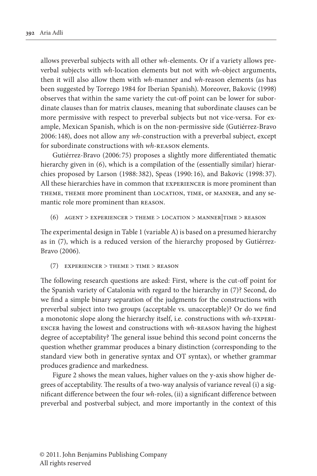allows preverbal subjects with all other *wh*-elements. Or if a variety allows preverbal subjects with *wh*-location elements but not with *wh*-object arguments, then it will also allow them with *wh*-manner and *wh*-reason elements (as has been suggested by Torrego 1984 for Iberian Spanish). Moreover, Bakovic (1998) observes that within the same variety the cut-off point can be lower for subordinate clauses than for matrix clauses, meaning that subordinate clauses can be more permissive with respect to preverbal subjects but not vice-versa. For example, Mexican Spanish, which is on the non-permissive side (Gutiérrez-Bravo 2006: 148), does not allow any *wh*-construction with a preverbal subject, except for subordinate constructions with *wh*-reason elements.

Gutiérrez-Bravo (2006: 75) proposes a slightly more differentiated thematic hierarchy given in (6), which is a compilation of the (essentially similar) hierarchies proposed by Larson (1988: 382), Speas (1990: 16), and Bakovic (1998: 37). All these hierarchies have in common that experiencer is more prominent than theme, theme more prominent than location, time, or manner, and any semantic role more prominent than reason.

 $(6)$  AGENT > EXPERIENCER > THEME > LOCATION > MANNER TIME > REASON

The experimental design in Table 1 (variable A) is based on a presumed hierarchy as in (7), which is a reduced version of the hierarchy proposed by Gutiérrez-Bravo (2006).

(7) EXPERIENCER > THEME > TIME > REASON

The following research questions are asked: First, where is the cut-off point for the Spanish variety of Catalonia with regard to the hierarchy in (7)? Second, do we find a simple binary separation of the judgments for the constructions with preverbal subject into two groups (acceptable vs. unacceptable)? Or do we find a monotonic slope along the hierarchy itself, i.e. constructions with *wh*-experiencer having the lowest and constructions with *wh*-reason having the highest degree of acceptability? The general issue behind this second point concerns the question whether grammar produces a binary distinction (corresponding to the standard view both in generative syntax and OT syntax), or whether grammar produces gradience and markedness.

Figure 2 shows the mean values, higher values on the y-axis show higher degrees of acceptability. The results of a two-way analysis of variance reveal (i) a significant difference between the four *wh*-roles, (ii) a significant difference between preverbal and postverbal subject, and more importantly in the context of this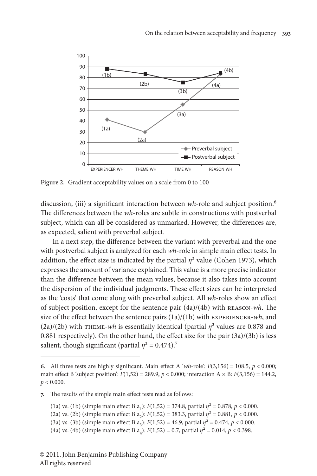

**Figure 2.** Gradient acceptability values on a scale from 0 to 100

discussion, (iii) a significant interaction between *wh*-role and subject position.6 The differences between the *wh*-roles are subtle in constructions with postverbal subject, which can all be considered as unmarked. However, the differences are, as expected, salient with preverbal subject.

In a next step, the difference between the variant with preverbal and the one with postverbal subject is analyzed for each *wh*-role in simple main effect tests. In addition, the effect size is indicated by the partial  $\eta^2$  value (Cohen 1973), which expresses the amount of variance explained. This value is a more precise indicator than the difference between the mean values, because it also takes into account the dispersion of the individual judgments. These effect sizes can be interpreted as the 'costs' that come along with preverbal subject. All *wh*-roles show an effect of subject position, except for the sentence pair (4a)/(4b) with reason-*wh*. The size of the effect between the sentence pairs (1a)/(1b) with experiencer-*wh*, and (2a)/(2b) with theme-*wh* is essentially identical (partial *η*² values are 0.878 and 0.881 respectively). On the other hand, the effect size for the pair (3a)/(3b) is less salient, though significant (partial  $\eta^2 = 0.474$ ).<sup>7</sup>

- (1a) vs. (1b) (simple main effect B|a<sub>1</sub>):  $F(1,52) = 374.8$ , partial  $\eta^2 = 0.878$ ,  $p < 0.000$ .
- (2a) vs. (2b) (simple main effect B|a<sub>2</sub>):  $F(1,52) = 383.3$ , partial  $\eta^2 = 0.881$ ,  $p < 0.000$ .
- (3a) vs. (3b) (simple main effect B|a<sub>3</sub>):  $F(1,52) = 46.9$ , partial  $\eta^2 = 0.474$ ,  $p < 0.000$ .
- (4a) vs. (4b) (simple main effect B|a<sub>4</sub>):  $F(1,52) = 0.7$ , partial  $\eta^2 = 0.014$ ,  $p < 0.398$ .

**<sup>6.</sup>** All three tests are highly significant. Main effect A '*wh*-role':  $F(3,156) = 108.5$ ,  $p < 0.000$ ; main effect B 'subject position': *F*(1,52) = 289.9, *p* < 0.000; interaction A × B: *F*(3,156) = 144.2,  $p < 0.000$ .

**<sup>7.</sup>** The results of the simple main effect tests read as follows: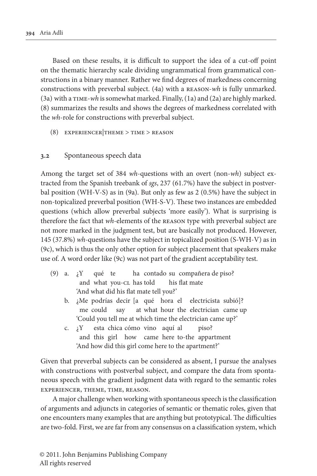Based on these results, it is difficult to support the idea of a cut-off point on the thematic hierarchy scale dividing ungrammatical from grammatical constructions in a binary manner. Rather we find degrees of markedness concerning constructions with preverbal subject. (4a) with a reason-*wh* is fully unmarked. (3a) with a time-*wh* is somewhat marked. Finally, (1a) and (2a) are highly marked. (8) summarizes the results and shows the degrees of markedness correlated with the *wh*-role for constructions with preverbal subject.

- (8) EXPERIENCER THEME > TIME > REASON
- **3.2** Spontaneous speech data

Among the target set of 384 *wh*-questions with an overt (non-*wh*) subject extracted from the Spanish treebank of *sgs*, 237 (61.7%) have the subject in postverbal position (WH-V-S) as in (9a). But only as few as 2 (0.5%) have the subject in non-topicalized preverbal position (WH-S-V). These two instances are embedded questions (which allow preverbal subjects 'more easily'). What is surprising is therefore the fact that *wh*-elements of the reason type with preverbal subject are not more marked in the judgment test, but are basically not produced. However, 145 (37.8%) *wh*-questions have the subject in topicalized position (S-WH-V) as in (9c), which is thus the only other option for subject placement that speakers make use of. A word order like (9c) was not part of the gradient acceptability test.

- (9) a. ¿Y qué te ha contado su compañera de piso? and what you-CL has told his flat mate 'And what did his flat mate tell you?'
	- b. ¿Me podrías decir [a qué hora el electricista subió]? me could say at what hour the electrician came up 'Could you tell me at which time the electrician came up?'
	- c. ¿Y esta chica cómo vino aquí al piso? and this girl how came here to-the appartment 'And how did this girl come here to the apartment?'

Given that preverbal subjects can be considered as absent, I pursue the analyses with constructions with postverbal subject, and compare the data from spontaneous speech with the gradient judgment data with regard to the semantic roles experiencer, theme, time, reason.

A major challenge when working with spontaneous speech is the classification of arguments and adjuncts in categories of semantic or thematic roles, given that one encounters many examples that are anything but prototypical. The difficulties are two-fold. First, we are far from any consensus on a classification system, which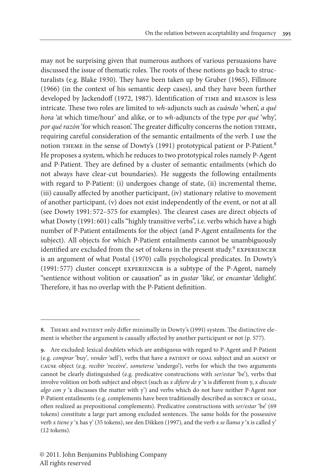may not be surprising given that numerous authors of various persuasions have discussed the issue of thematic roles. The roots of these notions go back to structuralists (e.g. Blake 1930). They have been taken up by Gruber (1965), Fillmore (1966) (in the context of his semantic deep cases), and they have been further developed by Jackendoff (1972, 1987). Identification of TIME and REASON is less intricate. These two roles are limited to *wh*-adjuncts such as *cuándo* 'when', *a qué hora* 'at which time/hour' and alike, or to *wh*-adjuncts of the type *por qué* 'why', *por qué razón* 'for which reason'. The greater difficulty concerns the notion THEME, requiring careful consideration of the semantic entailments of the verb. I use the notion THEME in the sense of Dowty's (1991) prototypical patient or P-Patient.<sup>8</sup> He proposes a system, which he reduces to two prototypical roles namely P-Agent and P-Patient. They are defined by a cluster of semantic entailments (which do not always have clear-cut boundaries). He suggests the following entailments with regard to P-Patient: (i) undergoes change of state, (ii) incremental theme, (iii) causally affected by another participant, (iv) stationary relative to movement of another participant, (v) does not exist independently of the event, or not at all (see Dowty 1991: 572–575 for examples). The clearest cases are direct objects of what Dowty (1991: 601) calls "highly transitive verbs", i.e. verbs which have a high number of P-Patient entailments for the object (and P-Agent entailments for the subject). All objects for which P-Patient entailments cannot be unambiguously identified are excluded from the set of tokens in the present study.<sup>9</sup> EXPERIENCER is an argument of what Postal (1970) calls psychological predicates. In Dowty's (1991: 577) cluster concept Experiencer is a subtype of the P-Agent, namely "sentience without volition or causation" as in *gustar* 'like', or *encantar* 'delight'. Therefore, it has no overlap with the P-Patient definition.

<sup>8.</sup> THEME and PATIENT only differ minimally in Dowty's (1991) system. The distinctive element is whether the argument is causally affected by another participant or not (p. 577).

**<sup>9.</sup>** Are excluded: lexical doublets which are ambiguous with regard to P-Agent and P-Patient (e.g. *comprar* 'buy'*, vender* 'sell'), verbs that have a patient or goal subject and an agent or cause object (e.g. *recibir* 'receive'*, someterse* 'undergo'), verbs for which the two arguments cannot be clearly distinguished (e.g. predicative constructions with *ser/estar* 'be')*,* verbs that involve volition on both subject and object (such as *x difiere de y* 'x is different from y, *x discute algo con y* 'x discusses the matter with y') and verbs which do not have neither P-Agent nor P-Patient entailments (e.g. complements have been traditionally described as source or goal, often realized as prepositional complements). Predicative constructions with *ser/estar* 'be' (69 tokens) constitute a large part among excluded sentences. The same holds for the possessive verb *x tiene y* 'x has y' (35 tokens), see den Dikken (1997), and the verb *x se llama y* 'x is called y' (12 tokens).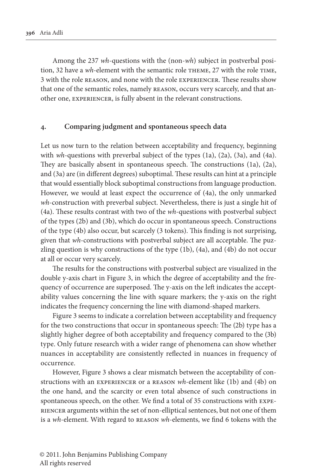Among the 237 *wh*-questions with the (non-*wh*) subject in postverbal position, 32 have a *wh*-element with the semantic role theme, 27 with the role time, 3 with the role reason, and none with the role experiencer. These results show that one of the semantic roles, namely reason, occurs very scarcely, and that another one, experiencer, is fully absent in the relevant constructions.

#### **4. Comparing judgment and spontaneous speech data**

Let us now turn to the relation between acceptability and frequency, beginning with *wh*-questions with preverbal subject of the types (1a), (2a), (3a), and (4a). They are basically absent in spontaneous speech. The constructions (1a), (2a), and (3a) are (in different degrees) suboptimal. These results can hint at a principle that would essentially block suboptimal constructions from language production. However, we would at least expect the occurrence of (4a), the only unmarked *wh*-construction with preverbal subject. Nevertheless, there is just a single hit of (4a). These results contrast with two of the *wh*-questions with postverbal subject of the types (2b) and (3b), which do occur in spontaneous speech. Constructions of the type (4b) also occur, but scarcely (3 tokens). This finding is not surprising, given that *wh*-constructions with postverbal subject are all acceptable. The puzzling question is why constructions of the type (1b), (4a), and (4b) do not occur at all or occur very scarcely.

The results for the constructions with postverbal subject are visualized in the double y-axis chart in Figure 3, in which the degree of acceptability and the frequency of occurrence are superposed. The y-axis on the left indicates the acceptability values concerning the line with square markers; the y-axis on the right indicates the frequency concerning the line with diamond-shaped markers.

Figure 3 seems to indicate a correlation between acceptability and frequency for the two constructions that occur in spontaneous speech: The (2b) type has a slightly higher degree of both acceptability and frequency compared to the (3b) type. Only future research with a wider range of phenomena can show whether nuances in acceptability are consistently reflected in nuances in frequency of occurrence.

However, Figure 3 shows a clear mismatch between the acceptability of constructions with an experiencer or a reason *wh*-element like (1b) and (4b) on the one hand, and the scarcity or even total absence of such constructions in spontaneous speech, on the other. We find a total of 35 constructions with experiencer arguments within the set of non-elliptical sentences, but not one of them is a *wh*-element. With regard to reason *wh*-elements, we find 6 tokens with the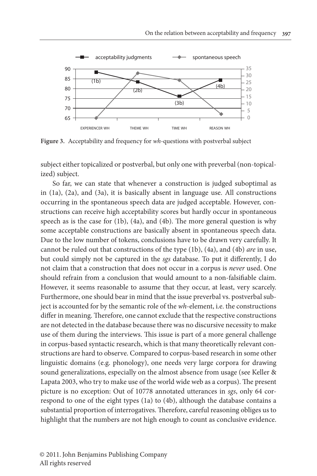

**Figure 3.** Acceptability and frequency for *wh*-questions with postverbal subject

subject either topicalized or postverbal, but only one with preverbal (non-topicalized) subject.

So far, we can state that whenever a construction is judged suboptimal as in (1a), (2a), and (3a), it is basically absent in language use. All constructions occurring in the spontaneous speech data are judged acceptable. However, constructions can receive high acceptability scores but hardly occur in spontaneous speech as is the case for (1b), (4a), and (4b). The more general question is why some acceptable constructions are basically absent in spontaneous speech data. Due to the low number of tokens, conclusions have to be drawn very carefully. It cannot be ruled out that constructions of the type (1b), (4a), and (4b) *are* in use, but could simply not be captured in the *sgs* database. To put it differently, I do not claim that a construction that does not occur in a corpus is *never* used. One should refrain from a conclusion that would amount to a non-falsifiable claim. However, it seems reasonable to assume that they occur, at least, very scarcely. Furthermore, one should bear in mind that the issue preverbal vs. postverbal subject is accounted for by the semantic role of the *wh*-element, i.e. the constructions differ in meaning. Therefore, one cannot exclude that the respective constructions are not detected in the database because there was no discursive necessity to make use of them during the interviews. This issue is part of a more general challenge in corpus-based syntactic research, which is that many theoretically relevant constructions are hard to observe. Compared to corpus-based research in some other linguistic domains (e.g. phonology), one needs very large corpora for drawing sound generalizations, especially on the almost absence from usage (see Keller & Lapata 2003, who try to make use of the world wide web as a corpus). The present picture is no exception: Out of 10778 annotated utterances in *sgs*, only 64 correspond to one of the eight types (1a) to (4b), although the database contains a substantial proportion of interrogatives. Therefore, careful reasoning obliges us to highlight that the numbers are not high enough to count as conclusive evidence.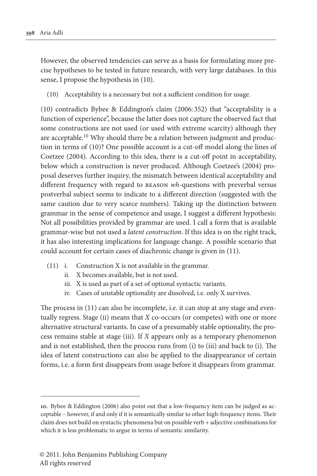However, the observed tendencies can serve as a basis for formulating more precise hypotheses to be tested in future research, with very large databases. In this sense, I propose the hypothesis in (10).

(10) Acceptability is a necessary but not a sufficient condition for usage.

(10) contradicts Bybee & Eddington's claim (2006: 352) that "acceptability is a function of experience", because the latter does not capture the observed fact that some constructions are not used (or used with extreme scarcity) although they are acceptable.<sup>10</sup> Why should there be a relation between judgment and production in terms of (10)? One possible account is a cut-off model along the lines of Coetzee (2004). According to this idea, there is a cut-off point in acceptability, below which a construction is never produced. Although Coetzee's (2004) proposal deserves further inquiry, the mismatch between identical acceptability and different frequency with regard to reason *wh*-questions with preverbal versus postverbal subject seems to indicate to a different direction (suggested with the same caution due to very scarce numbers). Taking up the distinction between grammar in the sense of competence and usage, I suggest a different hypothesis: Not all possibilities provided by grammar are used. I call a form that is available grammar-wise but not used a *latent construction*. If this idea is on the right track, it has also interesting implications for language change. A possible scenario that could account for certain cases of diachronic change is given in (11).

- (11) i. Construction X is not available in the grammar.
	- ii. X becomes available, but is not used.
	- iii. X is used as part of a set of optional syntactic variants.
	- iv. Cases of unstable optionality are dissolved, i.e. only X survives.

The process in (11) can also be incomplete, i.e. it can stop at any stage and eventually regress. Stage (ii) means that *X* co-occurs (or competes) with one or more alternative structural variants. In case of a presumably stable optionality, the process remains stable at stage (iii). If *X* appears only as a temporary phenomenon and is not established, then the process runs from (i) to (iii) and back to (i). The idea of latent constructions can also be applied to the disappearance of certain forms, i.e. a form first disappears from usage before it disappears from grammar.

**<sup>10.</sup>** Bybee & Eddington (2006) also point out that a low-frequency item can be judged as acceptable – however, if and only if it is semantically similar to other high-frequency items. Their claim does not build on syntactic phenomena but on possible verb + adjective combinations for which it is less problematic to argue in terms of semantic similarity.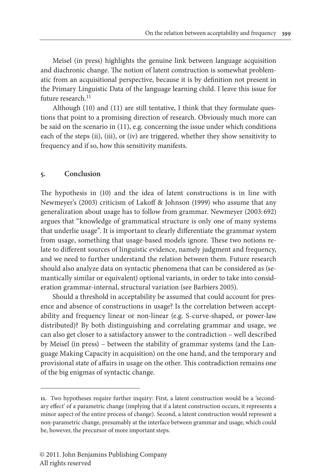Meisel (in press) highlights the genuine link between language acquisition and diachronic change. The notion of latent construction is somewhat problematic from an acquisitional perspective, because it is by definition not present in the Primary Linguistic Data of the language learning child. I leave this issue for future research.<sup>11</sup>

Although (10) and (11) are still tentative, I think that they formulate questions that point to a promising direction of research. Obviously much more can be said on the scenario in (11), e.g. concerning the issue under which conditions each of the steps (ii), (iii), or (iv) are triggered, whether they show sensitivity to frequency and if so, how this sensitivity manifests.

#### **5. Conclusion**

The hypothesis in (10) and the idea of latent constructions is in line with Newmeyer's (2003) criticism of Lakoff & Johnson (1999) who assume that any generalization about usage has to follow from grammar. Newmeyer (2003: 692) argues that "knowledge of grammatical structure is only one of many systems that underlie usage". It is important to clearly differentiate the grammar system from usage, something that usage-based models ignore. These two notions relate to different sources of linguistic evidence, namely judgment and frequency, and we need to further understand the relation between them. Future research should also analyze data on syntactic phenomena that can be considered as (semantically similar or equivalent) optional variants, in order to take into consideration grammar-internal, structural variation (see Barbiers 2005).

Should a threshold in acceptability be assumed that could account for presence and absence of constructions in usage? Is the correlation between acceptability and frequency linear or non-linear (e.g. S-curve-shaped, or power-law distributed)? By both distinguishing and correlating grammar and usage, we can also get closer to a satisfactory answer to the contradiction – well described by Meisel (in press) – between the stability of grammar systems (and the Language Making Capacity in acquisition) on the one hand, and the temporary and provisional state of affairs in usage on the other. This contradiction remains one of the big enigmas of syntactic change.

**<sup>11.</sup>** Two hypotheses require further inquiry: First, a latent construction would be a 'secondary effect' of a parametric change (implying that if a latent construction occurs, it represents a minor aspect of the entire process of change). Second, a latent construction would represent a non-parametric change, presumably at the interface between grammar and usage, which could be, however, the precursor of more important steps.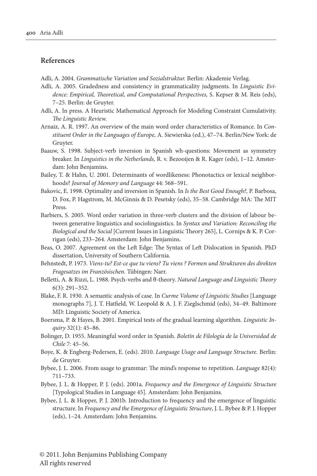#### **References**

- Adli, A. 2004. *Grammatische Variation und Sozialstruktur.* Berlin: Akademie Verlag.
- [Adli, A. 2005. Gradedness and consistency in grammaticality judgments. In](http://dx.doi.org/10.1515/9783110197549.7) *Linguistic Evi[dence: Empirical, Theoretical, and Computational Perspectives,](http://dx.doi.org/10.1515/9783110197549.7)* S. Kepser & M. Reis (eds), 7–25*.* [Berlin: de Gruyter.](http://dx.doi.org/10.1515/9783110197549.7)
- Adli, A. In press. A Heuristic Mathematical Approach for Modeling Constraint Cumulativity. *The Linguistic Review.*
- Arnaiz, A. R. 1997. An overview of the main word order characteristics of Romance. In *Constituent Order in the Languages of Europe,* A. Siewierska (ed.), 47–74. Berlin/New York: de Gruyter.
- Baauw, S. 1998. Subject-verb inversion in Spanish wh-questions: Movement as symmetry breaker. In *Linguistics in the Netherlands,* R. v. Bezooijen & R. Kager (eds), 1–12. Amsterdam: John Benjamins.
- [Bailey, T. & Hahn, U. 2001. Determinants of wordlikeness: Phonotactics or lexical neighbor](http://dx.doi.org/10.1006/jmla.2000.2756)hoods? *[Journal of Memory and Language](http://dx.doi.org/10.1006/jmla.2000.2756)* 44: 568–591.
- Bakovic, E. 1998. Optimality and inversion in Spanish. In *Is the Best Good Enough?,* P. Barbosa, D. Fox, P. Hagstrom, M. McGinnis & D. Pesetsky (eds), 35–58. Cambridge MA: The MIT Press.
- Barbiers, S. 2005. Word order variation in three-verb clusters and the division of labour between generative linguistics and sociolinguistics. In *Syntax and Variation: Reconciling the Biological and the Social* [Current Issues in Linguistic Theory 265], L. Cornips & K. P. Corrigan (eds), 233–264. Amsterdam: John Benjamins.
- Beas, O. 2007. Agreement on the Left Edge: The Syntax of Left Dislocation in Spanish. PhD dissertation, University of Southern California.
- Behnstedt, P. 1973. *Viens-tu? Est-ce que tu viens? Tu viens ? Formen und Strukturen des direkten Fragesatzes im Französischen.* Tübingen: Narr.
- [Belletti, A. & Rizzi, L. 1988. Psych-verbs and θ-theory.](http://dx.doi.org/10.1007/BF00133902) *Natural Language and Linguistic Theory* [6\(3\): 291–352.](http://dx.doi.org/10.1007/BF00133902)
- Blake, F. R. 1930. A semantic analysis of case. In *Curme Volume of Linguistic Studies* [Language monographs 7], J. T. Hatfield, W. Leopold & A. J. F. Zieglschmid (eds), 34–49*.* Baltimore MD: Linguistic Society of America.
- [Boersma, P. & Hayes, B. 2001. Empirical tests of the gradual learning algorithm.](http://dx.doi.org/10.1162/002438901554586) *Linguistic Inquiry* [32\(1\): 45–86.](http://dx.doi.org/10.1162/002438901554586)
- Bolinger, D. 1955. Meaningful word order in Spanish. *Boletín de Filología de la Universidad de Chile* 7: 45–56.
- [Boye, K. & Engberg-Pedersen, E. \(eds\). 2010.](http://dx.doi.org/10.1515/9783110219180) *Language Usage and Language Structure.* Berlin: [de Gruyter.](http://dx.doi.org/10.1515/9783110219180)
- [Bybee, J. L. 2006. From usage to grammar: The mind's response to repetition.](http://dx.doi.org/10.1353/lan.2006.0186) *Language* 82(4): [711–733.](http://dx.doi.org/10.1353/lan.2006.0186)
- Bybee, J. L. & Hopper, P. J. (eds). 2001a. *Frequency and the Emergence of Linguistic Structure* [Typological Studies in Language 45]*.* Amsterdam: John Benjamins.
- Bybee, J. L. & Hopper, P. J. 2001b. Introduction to frequency and the emergence of linguistic structure. In *Frequency and the Emergence of Linguistic Structure*, J. L. Bybee & P. J. Hopper (eds), 1–24*.* Amsterdam: John Benjamins.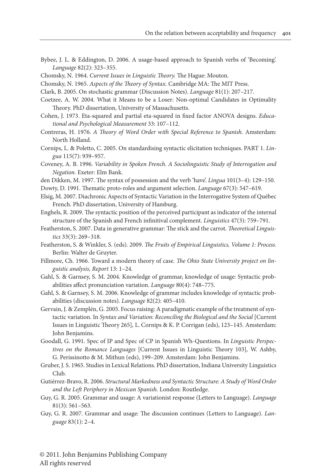- [Bybee, J. L. & Eddington, D. 2006. A usage-based approach to Spanish verbs of 'Becoming'.](http://dx.doi.org/10.1353/lan.2006.0081) *Language* [82\(2\): 323–355.](http://dx.doi.org/10.1353/lan.2006.0081)
- Chomsky, N. 1964. *Current Issues in Linguistic Theory.* The Hague: Mouton.
- Chomsky, N. 1965. *Aspects of the Theory of Syntax.* Cambridge MA: The MIT Press.
- [Clark, B. 2005. On stochastic grammar \(Discussion Notes\).](http://dx.doi.org/10.1353/lan.2005.0011) *Language* 81(1): 207–217.
- Coetzee, A. W. 2004. What it Means to be a Loser: Non-optimal Candidates in Optimality Theory. PhD dissertation, University of Massachusetts.
- [Cohen, J. 1973. Eta-squared and partial eta-squared in fixed factor ANOVA designs.](http://dx.doi.org/10.1177/001316447303300111) *Educa[tional and Psychological Measurement](http://dx.doi.org/10.1177/001316447303300111)* 33: 107–112.
- Contreras, H. 1976. *A Theory of Word Order with Special Reference to Spanish.* Amsterdam: North Holland.
- [Cornips, L. & Poletto, C. 2005. On standardising syntactic elicitation techniques. PART 1.](http://dx.doi.org/10.1016/j.lingua.2003.11.004) *Lingua* [115\(7\): 939–957.](http://dx.doi.org/10.1016/j.lingua.2003.11.004)
- Coveney, A. B. 1996. *Variability in Spoken French. A Sociolinguistic Study of Interrogation and Negation.* Exeter: Elm Bank.
- [den Dikken, M. 1997. The syntax of possession and the verb 'have'.](http://dx.doi.org/10.1016/S0024-3841(96)00054-X) *Lingua* 101(3–4): 129–150.
- [Dowty, D. 1991. Thematic proto-roles and argument selection.](http://dx.doi.org/10.2307/415037) *Language* 67(3): 547–619.
- Elsig, M. 2007. Diachronic Aspects of Syntactic Variation in the Interrogative System of Québec French. PhD dissertation, University of Hamburg.
- [Enghels, R. 2009. The syntactic position of the perceived participant as indicator of the internal](http://dx.doi.org/10.1515/LING.2009.025) [structure of the Spanish and French infinitival complement.](http://dx.doi.org/10.1515/LING.2009.025) *Linguistics* 47(3): 759–791.
- Featherston, S. 2007. Data in generative grammar: The stick and the carrot. *Theoretical Linguistics* 33(3): 269–318.
- Featherston, S. & Winkler, S. (eds). 2009. *The Fruits of Empirical Linguistics, Volume 1: Process.* Berlin: Walter de Gruyter.
- Fillmore, Ch. 1966. Toward a modern theory of case. *The Ohio State University project on linguistic analysis, Report* 13: 1–24*.*
- [Gahl, S. & Garnsey, S. M. 2004. Knowledge of grammar, knowledge of usage: Syntactic prob](http://dx.doi.org/10.1353/lan.2004.0185)[abilities affect pronunciation variation.](http://dx.doi.org/10.1353/lan.2004.0185) *Language* 80(4): 748–775.
- [Gahl, S. & Garnsey, S. M. 2006. Knowledge of grammar includes knowledge of syntactic prob](http://dx.doi.org/10.1353/lan.2006.0089)[abilities \(discussion notes\).](http://dx.doi.org/10.1353/lan.2006.0089) *Language* 82(2): 405–410.
- Gervain, J. & Zemplén, G. 2005. Focus raising: A paradigmatic example of the treatment of syntactic variation. In Syntax and Variation: Reconciling the Biological and the Social [Current Issues in Linguistic Theory 265]*,* L. Cornips & K. P. Corrigan (eds), 123–145*.* Amsterdam: John Benjamins.
- Goodall, G. 1991. Spec of IP and Spec of CP in Spanish Wh-Questions. In *Linguistic Perspectives on the Romance Languages* [Current Issues in Linguistic Theory 103]*,* W. Ashby, G. Perissinotto & M. Mithun (eds), 199–209. Amsterdam: John Benjamins.
- Gruber, J. S. 1965. Studies in Lexical Relations. PhD dissertation, Indiana University Linguistics Club.
- Gutiérrez-Bravo, R. 2006. *Structural Markedness and Syntactic Structure: A Study of Word Order and the Left Periphery in Mexican Spanish.* London: Routledge.
- [Guy, G. R. 2005. Grammar and usage: A variationist response \(Letters to Language\).](http://dx.doi.org/10.1353/lan.2005.0132) *Language* [81\(3\): 561–563.](http://dx.doi.org/10.1353/lan.2005.0132)
- [Guy, G. R. 2007. Grammar and usage: The discussion continues \(Letters to Language\).](http://dx.doi.org/10.1353/lan.2007.0028) *Language* [83\(1\): 2–4.](http://dx.doi.org/10.1353/lan.2007.0028)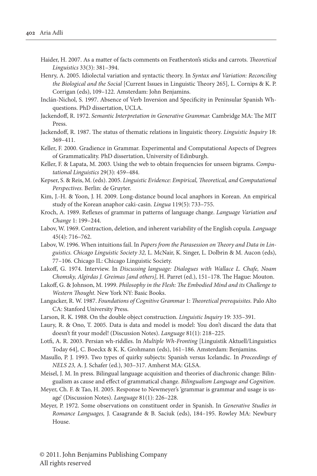- Haider, H. 2007. As a matter of facts comments on Featherston's sticks and carrots. *Theoretical Linguistics* 33(3): 381–394.
- Henry, A. 2005. Idiolectal variation and syntactic theory. In *Syntax and Variation: Reconciling the Biological and the Social* [Current Issues in Linguistic Theory 265]*,* L. Cornips & K. P. Corrigan (eds), 109–122. Amsterdam: John Benjamins.
- Inclán-Nichol, S. 1997. Absence of Verb Inversion and Specificity in Peninsular Spanish Whquestions. PhD dissertation, UCLA.
- Jackendoff, R. 1972. *Semantic Interpretation in Generative Grammar.* Cambridge MA: The MIT Press.
- Jackendoff, R. 1987. The status of thematic relations in linguistic theory. *Linguistic Inquiry* 18: 369–411.
- Keller, F. 2000. Gradience in Grammar. Experimental and Computational Aspects of Degrees of Grammaticality. PhD dissertation, University of Edinburgh.
- [Keller, F. & Lapata, M. 2003. Using the web to obtain frequencies for unseen bigrams.](http://dx.doi.org/10.1162/089120103322711604) *Compu[tational Linguistics](http://dx.doi.org/10.1162/089120103322711604)* 29(3): 459–484.
- Kepser, S. & Reis, M. (eds). 2005. *[Linguistic Evidence: Empirical, Theoretical, and Computational](http://dx.doi.org/10.1515/9783110197549) Perspectives.* [Berlin: de Gruyter.](http://dx.doi.org/10.1515/9783110197549)
- [Kim, J.-H. & Yoon, J. H. 2009. Long-distance bound local anaphors in Korean. An empirical](http://dx.doi.org/10.1016/j.lingua.2008.10.002) [study of the Korean anaphor caki-casin.](http://dx.doi.org/10.1016/j.lingua.2008.10.002) *Lingua* 119(5): 733–755.
- [Kroch, A. 1989. Reflexes of grammar in patterns of language change.](http://dx.doi.org/10.1017/S0954394500000168) *Language Variation and Change* [1: 199–244.](http://dx.doi.org/10.1017/S0954394500000168)
- [Labov, W. 1969. Contraction, deletion, and inherent variability of the English copula.](http://dx.doi.org/10.2307/412333) *Language* [45\(4\): 716–762.](http://dx.doi.org/10.2307/412333)
- Labov, W. 1996. When intuitions fail. In *Papers from the Parasession on Theory and Data in Linguistics. Chicago Linguistic Society 32,* L. McNair, K. Singer, L. Dolbrin & M. Aucon (eds), 77–106*.* Chicago IL: Chicago Linguistic Society.
- Lakoff, G. 1974. Interview. In *Discussing language: Dialogues with Wallace L. Chafe, Noam Chomsky, Algirdas J. Greimas [and others],* H. Parret (ed.), 151–178. The Hague: Mouton.
- Lakoff, G. & Johnson, M. 1999. *Philosophy in the Flesh: The Embodied Mind and its Challenge to Western Thought.* New York NY: Basic Books.
- Langacker, R. W. 1987. *Foundations of Cognitive Grammar* 1: *Theoretical prerequisites.* Palo Alto CA: Stanford University Press.
- Larson, R. K. 1988. On the double object construction. *Linguistic Inquiry* 19: 335–391.
- [Laury, R. & Ono, T. 2005. Data is data and model is model: You don't discard the data that](http://dx.doi.org/10.1353/lan.2005.0026) [doesn't fit your model! \(Discussion Notes\).](http://dx.doi.org/10.1353/lan.2005.0026) *Language* 81(1): 218–225.
- Lotfi, A. R. 2003. Persian wh-riddles. In *Multiple Wh-Fronting* [Linguistik Aktuell/Linguistics Today 64]*,* C. Boeckx & K. K. Grohmann (eds), 161–186. Amsterdam: Benjamins.
- Masullo, P. J. 1993. Two types of quirky subjects: Spanish versus Icelandic. In *Proceedings of NELS 23,* A. J. Schafer (ed.), 303–317. Amherst MA: GLSA.
- Meisel, J. M. In press. Bilingual language acquisition and theories of diachronic change: Bilingualism as cause and effect of grammatical change. *Bilingualism Language and Cognition*.
- [Meyer, Ch. F. & Tao, H. 2005. Response to Newmeyer's 'grammar is grammar and usage is us](http://dx.doi.org/10.1353/lan.2005.0032)[age' \(Discussion Notes\).](http://dx.doi.org/10.1353/lan.2005.0032) *Language* 81(1): 226–228.
- Meyer, P. 1972. Some observations on constituent order in Spanish. In *Generative Studies in Romance Languages,* J. Casagrande & B. Saciuk (eds), 184–195. Rowley MA: Newbury House.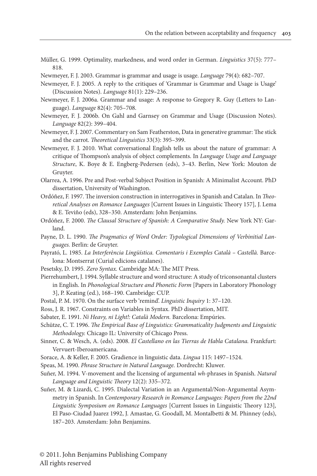- [Müller, G. 1999. Optimality, markedness, and word order in German.](http://dx.doi.org/10.1515/ling.37.5.777) *Linguistics* 37(5): 777– [818.](http://dx.doi.org/10.1515/ling.37.5.777)
- [Newmeyer, F. J. 2003. Grammar is grammar and usage is usage.](http://dx.doi.org/10.1353/lan.2003.0260) *Language* 79(4): 682–707.
- [Newmeyer, F. J. 2005. A reply to the critiques of 'Grammar is Grammar and Usage is Usage'](http://dx.doi.org/10.1353/lan.2005.0035) [\(Discussion Notes\).](http://dx.doi.org/10.1353/lan.2005.0035) *Language* 81(1): 229–236.
- [Newmeyer, F. J. 2006a. Grammar and usage: A response to Gregory R. Guy \(Letters to Lan](http://dx.doi.org/10.1353/lan.2006.0214)guage). *Language* [82\(4\): 705–708.](http://dx.doi.org/10.1353/lan.2006.0214)
- [Newmeyer, F. J. 2006b. On Gahl and Garnsey on Grammar and Usage \(Discussion Notes\).](http://dx.doi.org/10.1353/lan.2006.0100) *Language* [82\(2\): 399–404.](http://dx.doi.org/10.1353/lan.2006.0100)
- Newmeyer, F. J. 2007. Commentary on Sam Featherston, Data in generative grammar: The stick and the carrot. *Theoretical Linguistics* 33(3): 395–399.
- Newmeyer, F. J. 2010. What conversational English tells us about the nature of grammar: A critique of Thompson's analysis of object complements. In *Language Usage and Language Structure*, K. Boye & E. Engberg-Pedersen (eds), 3–43. Berlin, New York: Mouton de Gruyter.
- Olarrea, A. 1996. Pre and Post-verbal Subject Position in Spanish: A Minimalist Account. PhD dissertation, University of Washington.
- Ordóñez, F. 1997. The inversion construction in interrogatives in Spanish and Catalan. In *Theoretical Analyses on Romance Languages* [Current Issues in Linguistic Theory 157]*,* J. Lema & E. Teviño (eds), 328–350. Amsterdam: John Benjamins.
- Ordóñez, F. 2000. *The Clausal Structure of Spanish: A Comparative Study.* New York NY: Garland.
- Payne, D. L. 1990. *The Pragmatics of Word Order: Typological Dimensions of Verbinitial Languages.* Berlin: de Gruyter.
- Payrató, L. 1985. *La Interferència Lingüística. Comentaris i Exemples Català Castellà.* Barcelona: Montserrat (Curial edicions catalanes).
- Pesetsky, D. 1995. *Zero Syntax.* Cambridge MA: The MIT Press.
- [Pierrehumbert, J. 1994. Syllable structure and word structure: A study of triconsonantal clusters](http://dx.doi.org/10.1017/CBO9780511659461.011) in English. In *[Phonological Structure and Phonetic Form](http://dx.doi.org/10.1017/CBO9780511659461.011)* [Papers in Laboratory Phonology [3\], P. Keating \(ed.\), 168–190. Cambridge: CUP.](http://dx.doi.org/10.1017/CBO9780511659461.011)
- Postal, P. M. 1970. On the surface verb 'remind'. *Linguistic Inquiry* 1: 37–120.
- Ross, J. R. 1967. Constraints on Variables in Syntax. PhD dissertation, MIT.
- Sabater, E. 1991. *Ni Heavy, ni Light!: Català Modern.* Barcelona: Empúries.
- Schütze, C. T. 1996. *The Empirical Base of Linguistics: Grammaticality Judgments and Linguistic Methodology.* Chicago IL: University of Chicago Press.
- Sinner, C. & Wesch, A. (eds). 2008. *El Castellano en las Tierras de Habla Catalana.* Frankfurt: Vervuert-Iberoamericana.
- [Sorace, A. & Keller, F. 2005. Gradience in linguistic data.](http://dx.doi.org/10.1016/j.lingua.2004.07.002) *Lingua* 115: 1497–1524.
- Speas, M. 1990. *Phrase Structure in Natural Language.* Dordrecht: Kluwer.
- [Suñer, M. 1994. V-movement and the licensing of argumental](http://dx.doi.org/10.1007/BF00993148) *wh*-phrases in Spanish. *Natural [Language and Linguistic Theory](http://dx.doi.org/10.1007/BF00993148)* 12(2): 335–372.
- Suñer, M. & Lizardi, C. 1995. Dialectal Variation in an Argumental/Non-Argumental Asymmetry in Spanish. In *Contemporary Research in Romance Languages: Papers from the 22nd Linguistic Symposium on Romance Languages* [Current Issues in Linguistic Theory 123]*,*  El Paso-Ciudad Juarez 1992, J. Amastae, G. Goodall, M. Montalbetti & M. Phinney (eds), 187–203. Amsterdam: John Benjamins.